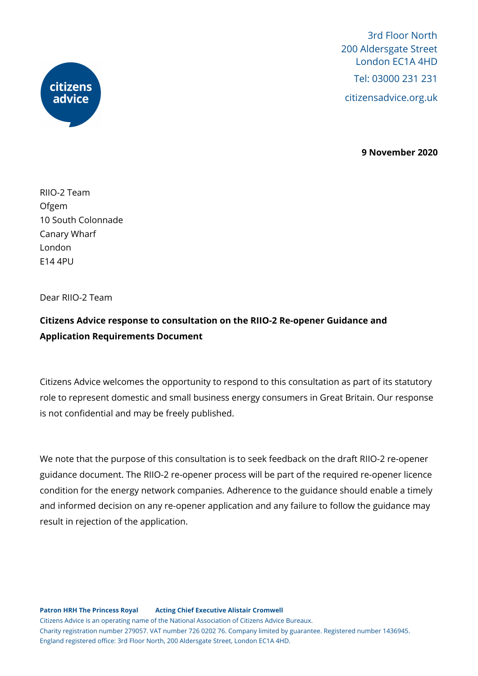



**9 November 2020**

RIIO-2 Team Ofgem 10 South Colonnade Canary Wharf London E14 4PU

Dear RIIO-2 Team

## **Citizens Advice response to consultation on the RIIO-2 Re-opener Guidance and Application Requirements Document**

Citizens Advice welcomes the opportunity to respond to this consultation as part of its statutory role to represent domestic and small business energy consumers in Great Britain. Our response is not confidential and may be freely published.

We note that the purpose of this consultation is to seek feedback on the draft RIIO-2 re-opener guidance document. The RIIO-2 re-opener process will be part of the required re-opener licence condition for the energy network companies. Adherence to the guidance should enable a timely and informed decision on any re-opener application and any failure to follow the guidance may result in rejection of the application.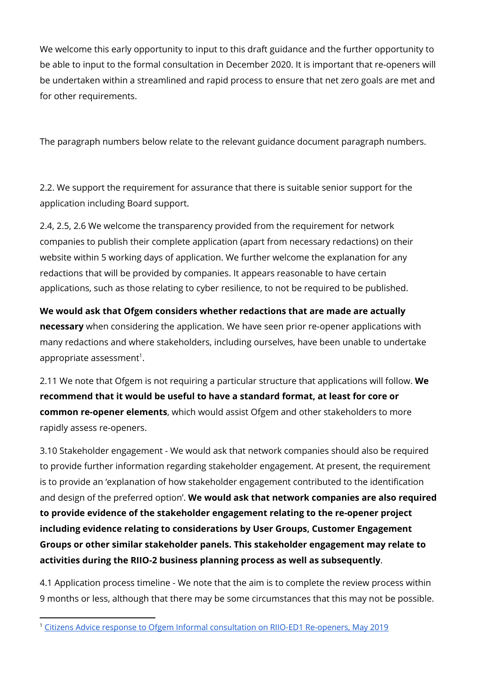We welcome this early opportunity to input to this draft guidance and the further opportunity to be able to input to the formal consultation in December 2020. It is important that re-openers will be undertaken within a streamlined and rapid process to ensure that net zero goals are met and for other requirements.

The paragraph numbers below relate to the relevant guidance document paragraph numbers.

2.2. We support the requirement for assurance that there is suitable senior support for the application including Board support.

2.4, 2.5, 2.6 We welcome the transparency provided from the requirement for network companies to publish their complete application (apart from necessary redactions) on their website within 5 working days of application. We further welcome the explanation for any redactions that will be provided by companies. It appears reasonable to have certain applications, such as those relating to cyber resilience, to not be required to be published.

**We would ask that Ofgem considers whether redactions that are made are actually necessary** when considering the application. We have seen prior re-opener applications with many redactions and where stakeholders, including ourselves, have been unable to undertake appropriate assessment<sup>1</sup>.

2.11 We note that Ofgem is not requiring a particular structure that applications will follow. **We recommend that it would be useful to have a standard format, at least for core or common re-opener elements**, which would assist Ofgem and other stakeholders to more rapidly assess re-openers.

3.10 Stakeholder engagement - We would ask that network companies should also be required to provide further information regarding stakeholder engagement. At present, the requirement is to provide an 'explanation of how stakeholder engagement contributed to the identification and design of the preferred option'. **We would ask that network companies are also required to provide evidence of the stakeholder engagement relating to the re-opener project including evidence relating to considerations by User Groups, Customer Engagement Groups or other similar stakeholder panels. This stakeholder engagement may relate to activities during the RIIO-2 business planning process as well as subsequently**.

4.1 Application process timeline - We note that the aim is to complete the review process within 9 months or less, although that there may be some circumstances that this may not be possible.

<sup>&</sup>lt;sup>1</sup> Citizens Advice response to Ofgem Informal [consultation](https://www.citizensadvice.org.uk/Global/CitizensAdvice/Energy/Energy%20Consultation%20responses/Citizens%20Advice%20-%20Response%20-%20Informal%20consultation%20on%20RIIO-ED1%20price%20control%20reopeners%20(May%202019).pdf) on RIIO-ED1 Re-openers, May 2019